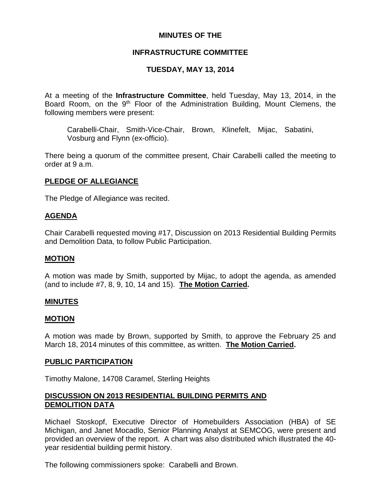# **MINUTES OF THE**

# **INFRASTRUCTURE COMMITTEE**

# **TUESDAY, MAY 13, 2014**

At a meeting of the **Infrastructure Committee**, held Tuesday, May 13, 2014, in the Board Room, on the 9<sup>th</sup> Floor of the Administration Building, Mount Clemens, the following members were present:

Carabelli-Chair, Smith-Vice-Chair, Brown, Klinefelt, Mijac, Sabatini, Vosburg and Flynn (ex-officio).

There being a quorum of the committee present, Chair Carabelli called the meeting to order at 9 a.m.

# **PLEDGE OF ALLEGIANCE**

The Pledge of Allegiance was recited.

# **AGENDA**

Chair Carabelli requested moving #17, Discussion on 2013 Residential Building Permits and Demolition Data, to follow Public Participation.

### **MOTION**

A motion was made by Smith, supported by Mijac, to adopt the agenda, as amended (and to include #7, 8, 9, 10, 14 and 15). **The Motion Carried.**

### **MINUTES**

### **MOTION**

A motion was made by Brown, supported by Smith, to approve the February 25 and March 18, 2014 minutes of this committee, as written. **The Motion Carried.**

### **PUBLIC PARTICIPATION**

Timothy Malone, 14708 Caramel, Sterling Heights

# **DISCUSSION ON 2013 RESIDENTIAL BUILDING PERMITS AND DEMOLITION DATA**

Michael Stoskopf, Executive Director of Homebuilders Association (HBA) of SE Michigan, and Janet Mocadlo, Senior Planning Analyst at SEMCOG, were present and provided an overview of the report. A chart was also distributed which illustrated the 40 year residential building permit history.

The following commissioners spoke: Carabelli and Brown.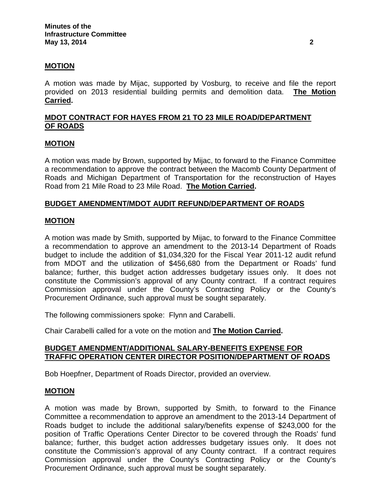# **MOTION**

A motion was made by Mijac, supported by Vosburg, to receive and file the report provided on 2013 residential building permits and demolition data. **The Motion Carried.**

# **MDOT CONTRACT FOR HAYES FROM 21 TO 23 MILE ROAD/DEPARTMENT OF ROADS**

### **MOTION**

A motion was made by Brown, supported by Mijac, to forward to the Finance Committee a recommendation to approve the contract between the Macomb County Department of Roads and Michigan Department of Transportation for the reconstruction of Hayes Road from 21 Mile Road to 23 Mile Road. **The Motion Carried.**

### **BUDGET AMENDMENT/MDOT AUDIT REFUND/DEPARTMENT OF ROADS**

### **MOTION**

A motion was made by Smith, supported by Mijac, to forward to the Finance Committee a recommendation to approve an amendment to the 2013-14 Department of Roads budget to include the addition of \$1,034,320 for the Fiscal Year 2011-12 audit refund from MDOT and the utilization of \$456,680 from the Department or Roads' fund balance; further, this budget action addresses budgetary issues only. It does not constitute the Commission's approval of any County contract. If a contract requires Commission approval under the County's Contracting Policy or the County's Procurement Ordinance, such approval must be sought separately.

The following commissioners spoke: Flynn and Carabelli.

Chair Carabelli called for a vote on the motion and **The Motion Carried.**

# **BUDGET AMENDMENT/ADDITIONAL SALARY-BENEFITS EXPENSE FOR TRAFFIC OPERATION CENTER DIRECTOR POSITION/DEPARTMENT OF ROADS**

Bob Hoepfner, Department of Roads Director, provided an overview.

### **MOTION**

A motion was made by Brown, supported by Smith, to forward to the Finance Committee a recommendation to approve an amendment to the 2013-14 Department of Roads budget to include the additional salary/benefits expense of \$243,000 for the position of Traffic Operations Center Director to be covered through the Roads' fund balance; further, this budget action addresses budgetary issues only. It does not constitute the Commission's approval of any County contract. If a contract requires Commission approval under the County's Contracting Policy or the County's Procurement Ordinance, such approval must be sought separately.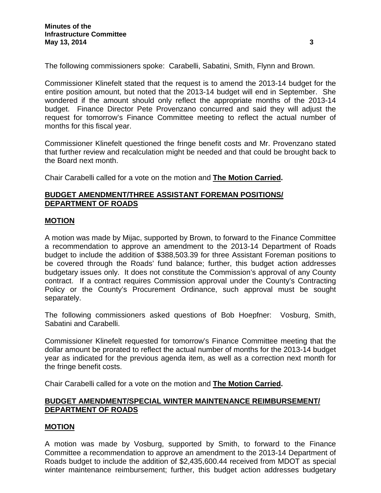The following commissioners spoke: Carabelli, Sabatini, Smith, Flynn and Brown.

Commissioner Klinefelt stated that the request is to amend the 2013-14 budget for the entire position amount, but noted that the 2013-14 budget will end in September. She wondered if the amount should only reflect the appropriate months of the 2013-14 budget. Finance Director Pete Provenzano concurred and said they will adjust the request for tomorrow's Finance Committee meeting to reflect the actual number of months for this fiscal year.

Commissioner Klinefelt questioned the fringe benefit costs and Mr. Provenzano stated that further review and recalculation might be needed and that could be brought back to the Board next month.

Chair Carabelli called for a vote on the motion and **The Motion Carried.**

### **BUDGET AMENDMENT/THREE ASSISTANT FOREMAN POSITIONS/ DEPARTMENT OF ROADS**

### **MOTION**

A motion was made by Mijac, supported by Brown, to forward to the Finance Committee a recommendation to approve an amendment to the 2013-14 Department of Roads budget to include the addition of \$388,503.39 for three Assistant Foreman positions to be covered through the Roads' fund balance; further, this budget action addresses budgetary issues only. It does not constitute the Commission's approval of any County contract. If a contract requires Commission approval under the County's Contracting Policy or the County's Procurement Ordinance, such approval must be sought separately.

The following commissioners asked questions of Bob Hoepfner: Vosburg, Smith, Sabatini and Carabelli.

Commissioner Klinefelt requested for tomorrow's Finance Committee meeting that the dollar amount be prorated to reflect the actual number of months for the 2013-14 budget year as indicated for the previous agenda item, as well as a correction next month for the fringe benefit costs.

Chair Carabelli called for a vote on the motion and **The Motion Carried.**

# **BUDGET AMENDMENT/SPECIAL WINTER MAINTENANCE REIMBURSEMENT/ DEPARTMENT OF ROADS**

### **MOTION**

A motion was made by Vosburg, supported by Smith, to forward to the Finance Committee a recommendation to approve an amendment to the 2013-14 Department of Roads budget to include the addition of \$2,435,600.44 received from MDOT as special winter maintenance reimbursement; further, this budget action addresses budgetary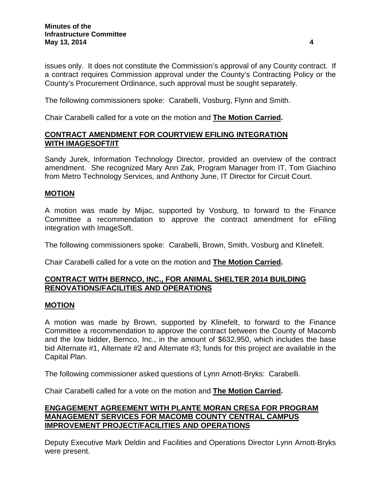issues only. It does not constitute the Commission's approval of any County contract. If a contract requires Commission approval under the County's Contracting Policy or the County's Procurement Ordinance, such approval must be sought separately.

The following commissioners spoke: Carabelli, Vosburg, Flynn and Smith.

Chair Carabelli called for a vote on the motion and **The Motion Carried.**

# **CONTRACT AMENDMENT FOR COURTVIEW EFILING INTEGRATION WITH IMAGESOFT/IT**

Sandy Jurek, Information Technology Director, provided an overview of the contract amendment. She recognized Mary Ann Zak, Program Manager from IT, Tom Giachino from Metro Technology Services, and Anthony June, IT Director for Circuit Court.

# **MOTION**

A motion was made by Mijac, supported by Vosburg, to forward to the Finance Committee a recommendation to approve the contract amendment for eFiling integration with ImageSoft.

The following commissioners spoke: Carabelli, Brown, Smith, Vosburg and Klinefelt.

Chair Carabelli called for a vote on the motion and **The Motion Carried.**

# **CONTRACT WITH BERNCO, INC., FOR ANIMAL SHELTER 2014 BUILDING RENOVATIONS/FACILITIES AND OPERATIONS**

### **MOTION**

A motion was made by Brown, supported by Klinefelt, to forward to the Finance Committee a recommendation to approve the contract between the County of Macomb and the low bidder, Bernco, Inc., in the amount of \$632,950, which includes the base bid Alternate #1, Alternate #2 and Alternate #3; funds for this project are available in the Capital Plan.

The following commissioner asked questions of Lynn Arnott-Bryks: Carabelli.

Chair Carabelli called for a vote on the motion and **The Motion Carried.**

# **ENGAGEMENT AGREEMENT WITH PLANTE MORAN CRESA FOR PROGRAM MANAGEMENT SERVICES FOR MACOMB COUNTY CENTRAL CAMPUS IMPROVEMENT PROJECT/FACILITIES AND OPERATIONS**

Deputy Executive Mark Deldin and Facilities and Operations Director Lynn Arnott-Bryks were present.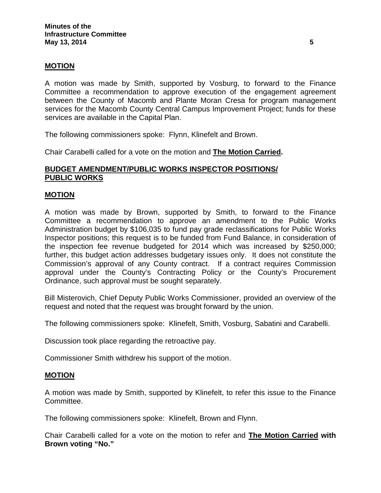# **MOTION**

A motion was made by Smith, supported by Vosburg, to forward to the Finance Committee a recommendation to approve execution of the engagement agreement between the County of Macomb and Plante Moran Cresa for program management services for the Macomb County Central Campus Improvement Project; funds for these services are available in the Capital Plan.

The following commissioners spoke: Flynn, Klinefelt and Brown.

Chair Carabelli called for a vote on the motion and **The Motion Carried.**

# **BUDGET AMENDMENT/PUBLIC WORKS INSPECTOR POSITIONS/ PUBLIC WORKS**

### **MOTION**

A motion was made by Brown, supported by Smith, to forward to the Finance Committee a recommendation to approve an amendment to the Public Works Administration budget by \$106,035 to fund pay grade reclassifications for Public Works Inspector positions; this request is to be funded from Fund Balance, in consideration of the inspection fee revenue budgeted for 2014 which was increased by \$250,000; further, this budget action addresses budgetary issues only. It does not constitute the Commission's approval of any County contract. If a contract requires Commission approval under the County's Contracting Policy or the County's Procurement Ordinance, such approval must be sought separately.

Bill Misterovich, Chief Deputy Public Works Commissioner, provided an overview of the request and noted that the request was brought forward by the union.

The following commissioners spoke: Klinefelt, Smith, Vosburg, Sabatini and Carabelli.

Discussion took place regarding the retroactive pay.

Commissioner Smith withdrew his support of the motion.

### **MOTION**

A motion was made by Smith, supported by Klinefelt, to refer this issue to the Finance Committee.

The following commissioners spoke: Klinefelt, Brown and Flynn.

Chair Carabelli called for a vote on the motion to refer and **The Motion Carried with Brown voting "No."**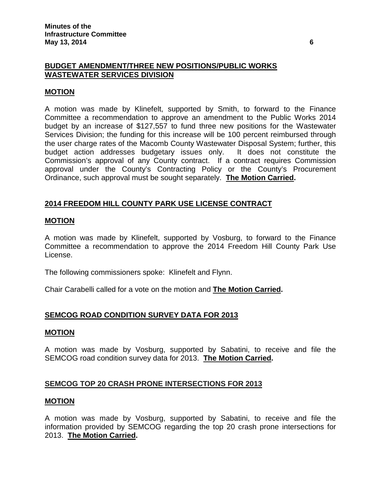### **BUDGET AMENDMENT/THREE NEW POSITIONS/PUBLIC WORKS WASTEWATER SERVICES DIVISION**

# **MOTION**

A motion was made by Klinefelt, supported by Smith, to forward to the Finance Committee a recommendation to approve an amendment to the Public Works 2014 budget by an increase of \$127,557 to fund three new positions for the Wastewater Services Division; the funding for this increase will be 100 percent reimbursed through the user charge rates of the Macomb County Wastewater Disposal System; further, this budget action addresses budgetary issues only. It does not constitute the Commission's approval of any County contract. If a contract requires Commission approval under the County's Contracting Policy or the County's Procurement Ordinance, such approval must be sought separately. **The Motion Carried.**

# **2014 FREEDOM HILL COUNTY PARK USE LICENSE CONTRACT**

# **MOTION**

A motion was made by Klinefelt, supported by Vosburg, to forward to the Finance Committee a recommendation to approve the 2014 Freedom Hill County Park Use License.

The following commissioners spoke: Klinefelt and Flynn.

Chair Carabelli called for a vote on the motion and **The Motion Carried.**

# **SEMCOG ROAD CONDITION SURVEY DATA FOR 2013**

### **MOTION**

A motion was made by Vosburg, supported by Sabatini, to receive and file the SEMCOG road condition survey data for 2013. **The Motion Carried.**

# **SEMCOG TOP 20 CRASH PRONE INTERSECTIONS FOR 2013**

### **MOTION**

A motion was made by Vosburg, supported by Sabatini, to receive and file the information provided by SEMCOG regarding the top 20 crash prone intersections for 2013. **The Motion Carried.**